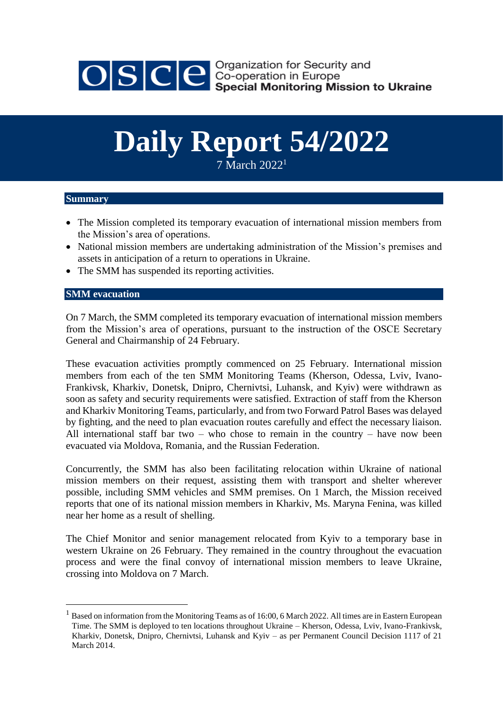

OSCE Security and<br>Seco-operation in Europe<br>Special Monitoring Mission to Ukraine

## **Daily Report 54/2022**

7 March 2022<sup>1</sup>

## **Summary**

- The Mission completed its temporary evacuation of international mission members from the Mission's area of operations.
- National mission members are undertaking administration of the Mission's premises and assets in anticipation of a return to operations in Ukraine.
- The SMM has suspended its reporting activities.

## **SMM evacuation**

1

On 7 March, the SMM completed its temporary evacuation of international mission members from the Mission's area of operations, pursuant to the instruction of the OSCE Secretary General and Chairmanship of 24 February.

These evacuation activities promptly commenced on 25 February. International mission members from each of the ten SMM Monitoring Teams (Kherson, Odessa, Lviv, Ivano-Frankivsk, Kharkiv, Donetsk, Dnipro, Chernivtsi, Luhansk, and Kyiv) were withdrawn as soon as safety and security requirements were satisfied. Extraction of staff from the Kherson and Kharkiv Monitoring Teams, particularly, and from two Forward Patrol Bases was delayed by fighting, and the need to plan evacuation routes carefully and effect the necessary liaison. All international staff bar two – who chose to remain in the country – have now been evacuated via Moldova, Romania, and the Russian Federation.

Concurrently, the SMM has also been facilitating relocation within Ukraine of national mission members on their request, assisting them with transport and shelter wherever possible, including SMM vehicles and SMM premises. On 1 March, the Mission received reports that one of its national mission members in Kharkiv, Ms. Maryna Fenina, was killed near her home as a result of shelling.

The Chief Monitor and senior management relocated from Kyiv to a temporary base in western Ukraine on 26 February. They remained in the country throughout the evacuation process and were the final convoy of international mission members to leave Ukraine, crossing into Moldova on 7 March.

<sup>1</sup> Based on information from the Monitoring Teams as of 16:00, 6 March 2022. All times are in Eastern European Time. The SMM is deployed to ten locations throughout Ukraine – Kherson, Odessa, Lviv, Ivano-Frankivsk, Kharkiv, Donetsk, Dnipro, Chernivtsi, Luhansk and Kyiv – as per Permanent Council Decision 1117 of 21 March 2014.